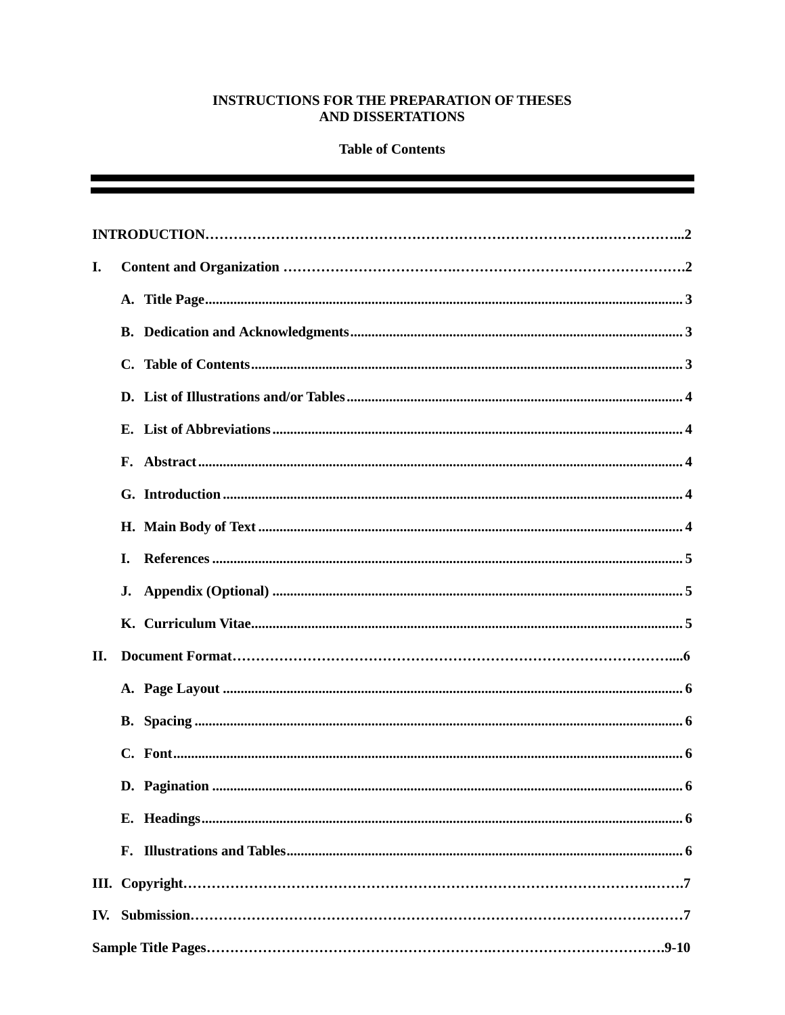## INSTRUCTIONS FOR THE PREPARATION OF THESES **AND DISSERTATIONS**

## **Table of Contents**

| I.  |     |  |  |
|-----|-----|--|--|
|     |     |  |  |
|     |     |  |  |
|     |     |  |  |
|     |     |  |  |
|     |     |  |  |
|     |     |  |  |
|     |     |  |  |
|     |     |  |  |
|     | L.  |  |  |
|     | J.  |  |  |
|     |     |  |  |
| II. |     |  |  |
|     |     |  |  |
|     |     |  |  |
|     | . 6 |  |  |
|     |     |  |  |
|     |     |  |  |
|     |     |  |  |
|     |     |  |  |
|     |     |  |  |
|     |     |  |  |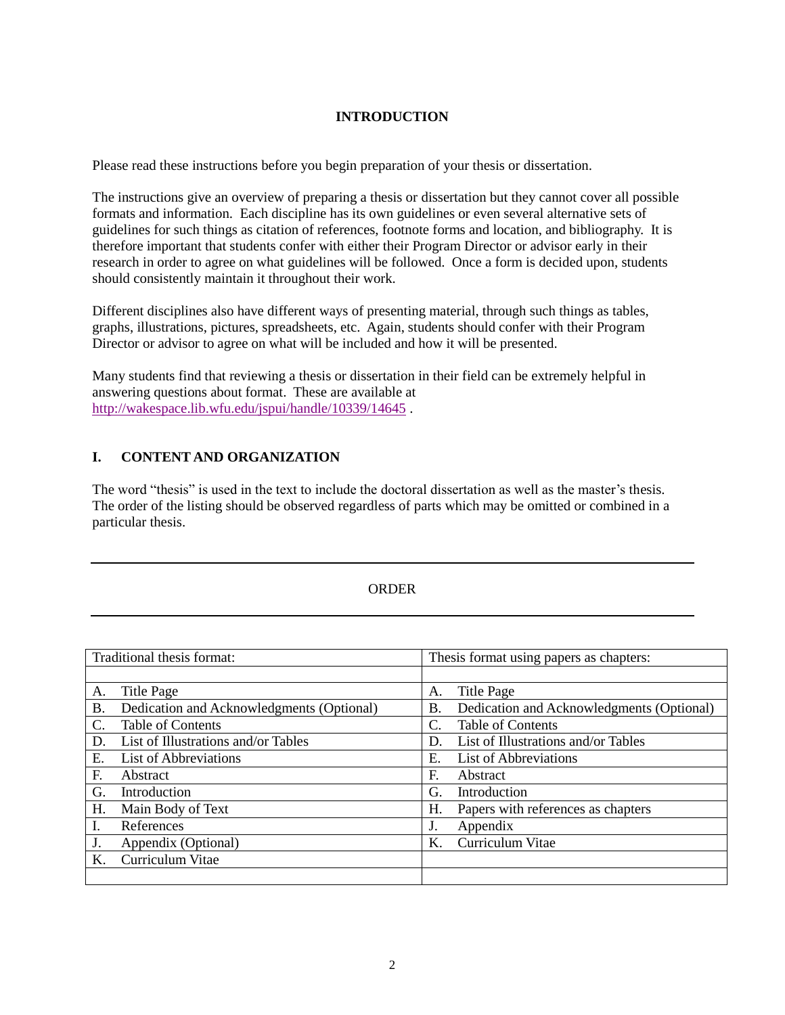## **INTRODUCTION**

Please read these instructions before you begin preparation of your thesis or dissertation.

The instructions give an overview of preparing a thesis or dissertation but they cannot cover all possible formats and information. Each discipline has its own guidelines or even several alternative sets of guidelines for such things as citation of references, footnote forms and location, and bibliography. It is therefore important that students confer with either their Program Director or advisor early in their research in order to agree on what guidelines will be followed. Once a form is decided upon, students should consistently maintain it throughout their work.

Different disciplines also have different ways of presenting material, through such things as tables, graphs, illustrations, pictures, spreadsheets, etc. Again, students should confer with their Program Director or advisor to agree on what will be included and how it will be presented.

Many students find that reviewing a thesis or dissertation in their field can be extremely helpful in answering questions about format. These are available at <http://wakespace.lib.wfu.edu/jspui/handle/10339/14645> .

## **I. CONTENT AND ORGANIZATION**

The word "thesis" is used in the text to include the doctoral dissertation as well as the master's thesis. The order of the listing should be observed regardless of parts which may be omitted or combined in a particular thesis.

## **ORDER**

| Traditional thesis format: |                                           | Thesis format using papers as chapters: |                                           |
|----------------------------|-------------------------------------------|-----------------------------------------|-------------------------------------------|
|                            |                                           |                                         |                                           |
| А.                         | Title Page                                | А.                                      | <b>Title Page</b>                         |
| <b>B.</b>                  | Dedication and Acknowledgments (Optional) | Β.                                      | Dedication and Acknowledgments (Optional) |
| C.                         | Table of Contents                         | C.                                      | Table of Contents                         |
| D.                         | List of Illustrations and/or Tables       | D.                                      | List of Illustrations and/or Tables       |
| Е.                         | <b>List of Abbreviations</b>              | Ε.                                      | <b>List of Abbreviations</b>              |
| F.                         | Abstract                                  | F.                                      | Abstract                                  |
| G.                         | Introduction                              | G.                                      | Introduction                              |
| Η.                         | Main Body of Text                         | Н.                                      | Papers with references as chapters        |
| I.                         | References                                | J.                                      | Appendix                                  |
| J.                         | Appendix (Optional)                       | K.                                      | Curriculum Vitae                          |
| Κ.                         | Curriculum Vitae                          |                                         |                                           |
|                            |                                           |                                         |                                           |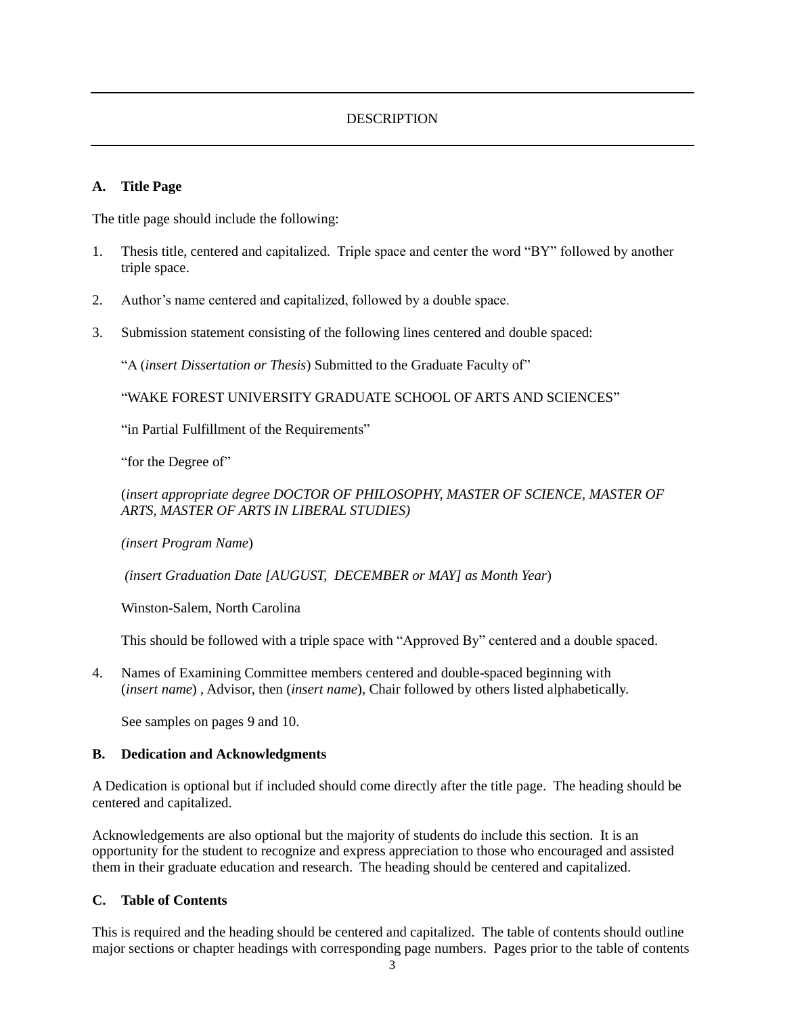# DESCRIPTION

### **A. Title Page**

The title page should include the following:

- 1. Thesis title, centered and capitalized. Triple space and center the word "BY" followed by another triple space.
- 2. Author's name centered and capitalized, followed by a double space.
- 3. Submission statement consisting of the following lines centered and double spaced:

"A (*insert Dissertation or Thesis*) Submitted to the Graduate Faculty of"

"WAKE FOREST UNIVERSITY GRADUATE SCHOOL OF ARTS AND SCIENCES"

"in Partial Fulfillment of the Requirements"

"for the Degree of"

(*insert appropriate degree DOCTOR OF PHILOSOPHY, MASTER OF SCIENCE, MASTER OF ARTS, MASTER OF ARTS IN LIBERAL STUDIES)*

*(insert Program Name*)

*(insert Graduation Date [AUGUST, DECEMBER or MAY] as Month Year*)

Winston-Salem, North Carolina

This should be followed with a triple space with "Approved By" centered and a double spaced.

4. Names of Examining Committee members centered and double-spaced beginning with (*insert name*) , Advisor, then (*insert name*), Chair followed by others listed alphabetically.

See samples on pages 9 and 10.

## **B. Dedication and Acknowledgments**

A Dedication is optional but if included should come directly after the title page. The heading should be centered and capitalized.

Acknowledgements are also optional but the majority of students do include this section. It is an opportunity for the student to recognize and express appreciation to those who encouraged and assisted them in their graduate education and research. The heading should be centered and capitalized.

### **C. Table of Contents**

This is required and the heading should be centered and capitalized. The table of contents should outline major sections or chapter headings with corresponding page numbers. Pages prior to the table of contents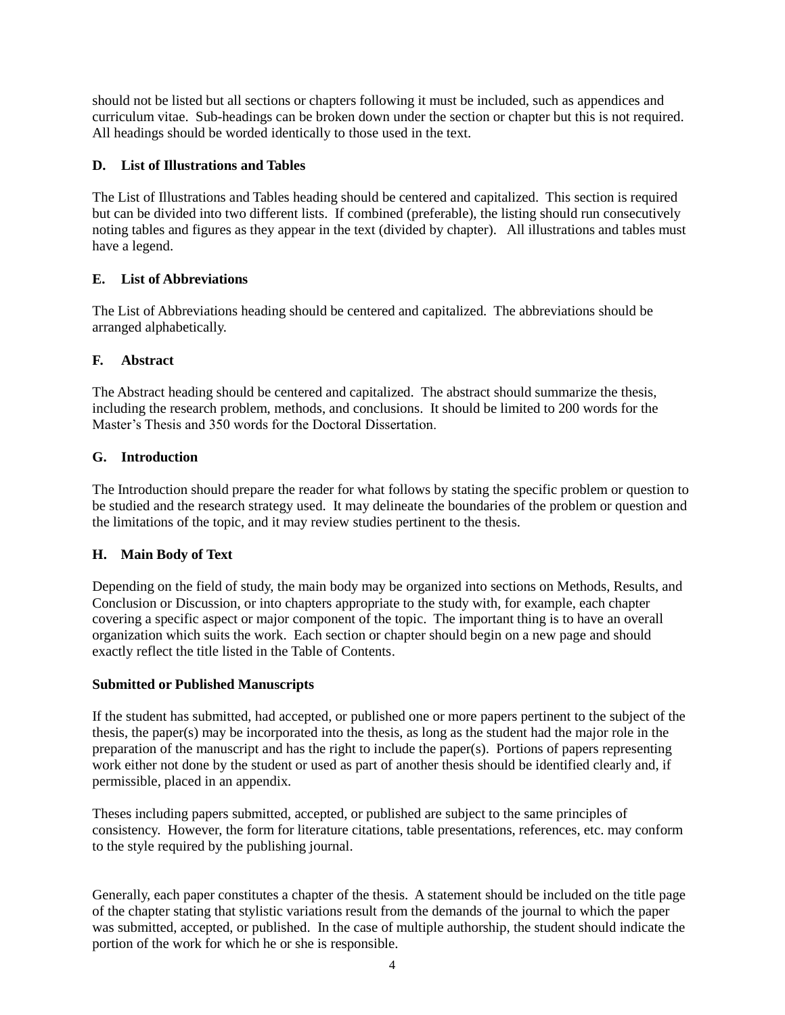should not be listed but all sections or chapters following it must be included, such as appendices and curriculum vitae. Sub-headings can be broken down under the section or chapter but this is not required. All headings should be worded identically to those used in the text.

## **D. List of Illustrations and Tables**

The List of Illustrations and Tables heading should be centered and capitalized. This section is required but can be divided into two different lists. If combined (preferable), the listing should run consecutively noting tables and figures as they appear in the text (divided by chapter). All illustrations and tables must have a legend.

# **E. List of Abbreviations**

The List of Abbreviations heading should be centered and capitalized. The abbreviations should be arranged alphabetically.

# **F. Abstract**

The Abstract heading should be centered and capitalized. The abstract should summarize the thesis, including the research problem, methods, and conclusions. It should be limited to 200 words for the Master's Thesis and 350 words for the Doctoral Dissertation.

# **G. Introduction**

The Introduction should prepare the reader for what follows by stating the specific problem or question to be studied and the research strategy used. It may delineate the boundaries of the problem or question and the limitations of the topic, and it may review studies pertinent to the thesis.

## **H. Main Body of Text**

Depending on the field of study, the main body may be organized into sections on Methods, Results, and Conclusion or Discussion, or into chapters appropriate to the study with, for example, each chapter covering a specific aspect or major component of the topic. The important thing is to have an overall organization which suits the work. Each section or chapter should begin on a new page and should exactly reflect the title listed in the Table of Contents.

## **Submitted or Published Manuscripts**

If the student has submitted, had accepted, or published one or more papers pertinent to the subject of the thesis, the paper(s) may be incorporated into the thesis, as long as the student had the major role in the preparation of the manuscript and has the right to include the paper(s). Portions of papers representing work either not done by the student or used as part of another thesis should be identified clearly and, if permissible, placed in an appendix.

Theses including papers submitted, accepted, or published are subject to the same principles of consistency. However, the form for literature citations, table presentations, references, etc. may conform to the style required by the publishing journal.

Generally, each paper constitutes a chapter of the thesis. A statement should be included on the title page of the chapter stating that stylistic variations result from the demands of the journal to which the paper was submitted, accepted, or published. In the case of multiple authorship, the student should indicate the portion of the work for which he or she is responsible.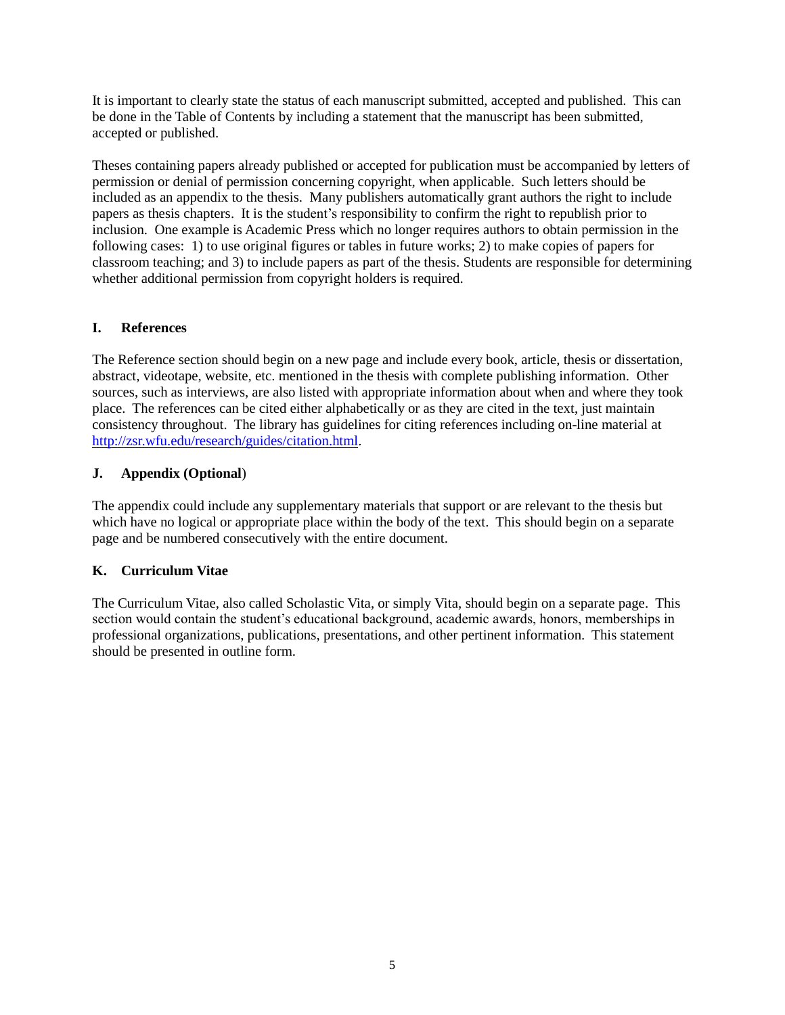It is important to clearly state the status of each manuscript submitted, accepted and published. This can be done in the Table of Contents by including a statement that the manuscript has been submitted, accepted or published.

Theses containing papers already published or accepted for publication must be accompanied by letters of permission or denial of permission concerning copyright, when applicable. Such letters should be included as an appendix to the thesis. Many publishers automatically grant authors the right to include papers as thesis chapters. It is the student's responsibility to confirm the right to republish prior to inclusion. One example is Academic Press which no longer requires authors to obtain permission in the following cases: 1) to use original figures or tables in future works; 2) to make copies of papers for classroom teaching; and 3) to include papers as part of the thesis. Students are responsible for determining whether additional permission from copyright holders is required.

# **I. References**

The Reference section should begin on a new page and include every book, article, thesis or dissertation, abstract, videotape, website, etc. mentioned in the thesis with complete publishing information. Other sources, such as interviews, are also listed with appropriate information about when and where they took place. The references can be cited either alphabetically or as they are cited in the text, just maintain consistency throughout. The library has guidelines for citing references including on-line material at [http://zsr.wfu.edu/research/guides/citation.html.](http://zsr.wfu.edu/research/guides/citation.html)

# **J. Appendix (Optional**)

The appendix could include any supplementary materials that support or are relevant to the thesis but which have no logical or appropriate place within the body of the text. This should begin on a separate page and be numbered consecutively with the entire document.

# **K. Curriculum Vitae**

The Curriculum Vitae, also called Scholastic Vita, or simply Vita, should begin on a separate page. This section would contain the student's educational background, academic awards, honors, memberships in professional organizations, publications, presentations, and other pertinent information. This statement should be presented in outline form.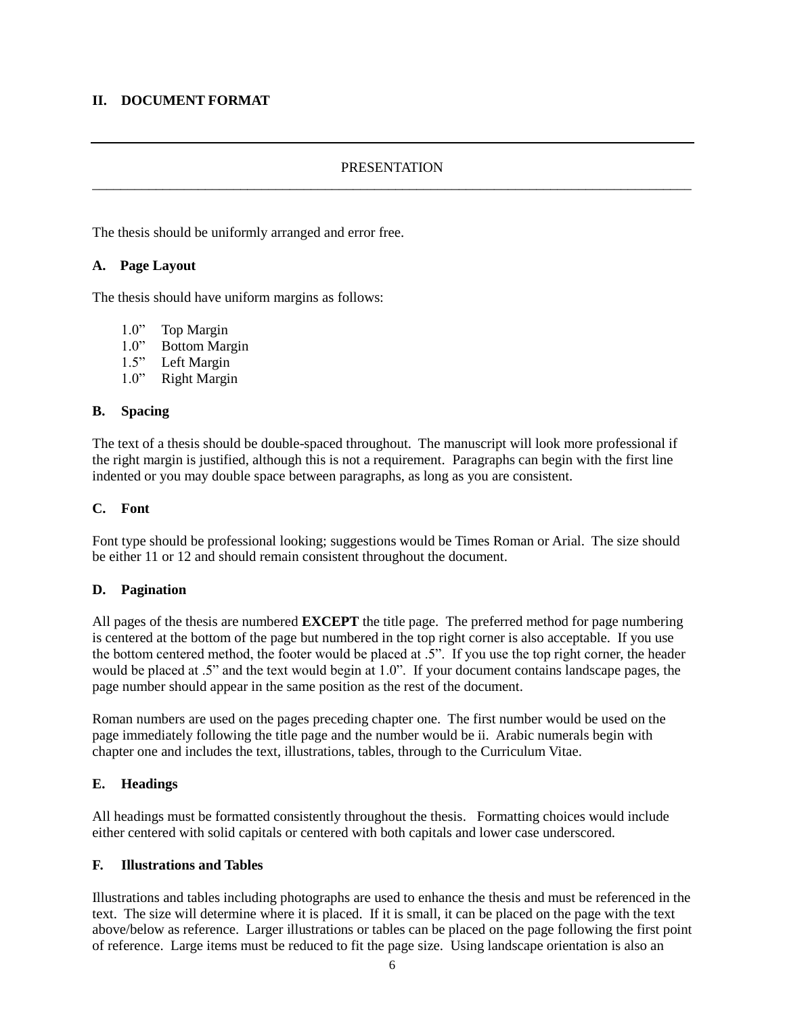### **II. DOCUMENT FORMAT**

### **PRESENTATION** \_\_\_\_\_\_\_\_\_\_\_\_\_\_\_\_\_\_\_\_\_\_\_\_\_\_\_\_\_\_\_\_\_\_\_\_\_\_\_\_\_\_\_\_\_\_\_\_\_\_\_\_\_\_\_\_\_\_\_\_\_\_\_\_\_\_\_\_\_\_\_\_\_\_\_\_\_\_\_\_\_\_\_\_\_

The thesis should be uniformly arranged and error free.

#### **A. Page Layout**

The thesis should have uniform margins as follows:

- 1.0" Top Margin
- 1.0" Bottom Margin
- 1.5" Left Margin
- 1.0" Right Margin

#### **B. Spacing**

The text of a thesis should be double-spaced throughout. The manuscript will look more professional if the right margin is justified, although this is not a requirement. Paragraphs can begin with the first line indented or you may double space between paragraphs, as long as you are consistent.

#### **C. Font**

Font type should be professional looking; suggestions would be Times Roman or Arial. The size should be either 11 or 12 and should remain consistent throughout the document.

#### **D. Pagination**

All pages of the thesis are numbered **EXCEPT** the title page. The preferred method for page numbering is centered at the bottom of the page but numbered in the top right corner is also acceptable. If you use the bottom centered method, the footer would be placed at .5". If you use the top right corner, the header would be placed at .5" and the text would begin at 1.0". If your document contains landscape pages, the page number should appear in the same position as the rest of the document.

Roman numbers are used on the pages preceding chapter one. The first number would be used on the page immediately following the title page and the number would be ii. Arabic numerals begin with chapter one and includes the text, illustrations, tables, through to the Curriculum Vitae.

#### **E. Headings**

All headings must be formatted consistently throughout the thesis. Formatting choices would include either centered with solid capitals or centered with both capitals and lower case underscored.

#### **F. Illustrations and Tables**

Illustrations and tables including photographs are used to enhance the thesis and must be referenced in the text. The size will determine where it is placed. If it is small, it can be placed on the page with the text above/below as reference. Larger illustrations or tables can be placed on the page following the first point of reference. Large items must be reduced to fit the page size. Using landscape orientation is also an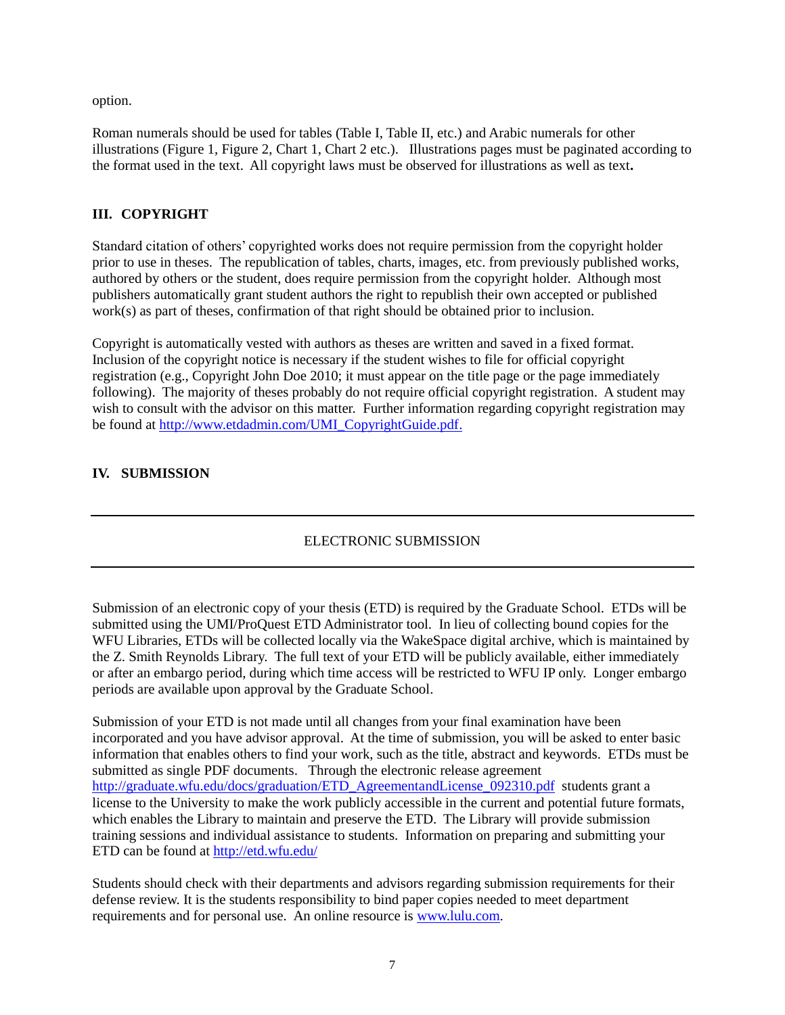option.

Roman numerals should be used for tables (Table I, Table II, etc.) and Arabic numerals for other illustrations (Figure 1, Figure 2, Chart 1, Chart 2 etc.). Illustrations pages must be paginated according to the format used in the text. All copyright laws must be observed for illustrations as well as text**.**

# **III. COPYRIGHT**

Standard citation of others' copyrighted works does not require permission from the copyright holder prior to use in theses. The republication of tables, charts, images, etc. from previously published works, authored by others or the student, does require permission from the copyright holder. Although most publishers automatically grant student authors the right to republish their own accepted or published work(s) as part of theses, confirmation of that right should be obtained prior to inclusion.

Copyright is automatically vested with authors as theses are written and saved in a fixed format. Inclusion of the copyright notice is necessary if the student wishes to file for official copyright registration (e.g., Copyright John Doe 2010; it must appear on the title page or the page immediately following). The majority of theses probably do not require official copyright registration. A student may wish to consult with the advisor on this matter. Further information regarding copyright registration may be found at [http://www.etdadmin.com/UMI\\_CopyrightGuide.pdf.](http://www.etdadmin.com/UMI_CopyrightGuide.pdf)

## **IV. SUBMISSION**

## ELECTRONIC SUBMISSION

Submission of an electronic copy of your thesis (ETD) is required by the Graduate School. ETDs will be submitted using the UMI/ProQuest ETD Administrator tool. In lieu of collecting bound copies for the WFU Libraries, ETDs will be collected locally via the WakeSpace digital archive, which is maintained by the Z. Smith Reynolds Library. The full text of your ETD will be publicly available, either immediately or after an embargo period, during which time access will be restricted to WFU IP only. Longer embargo periods are available upon approval by the Graduate School.

Submission of your ETD is not made until all changes from your final examination have been incorporated and you have advisor approval. At the time of submission, you will be asked to enter basic information that enables others to find your work, such as the title, abstract and keywords. ETDs must be submitted as single PDF documents. Through the electronic release agreement [http://graduate.wfu.edu/docs/graduation/ETD\\_AgreementandLicense\\_092310.pdf](http://graduate.wfu.edu/docs/graduation/ETD_AgreementandLicense_092310.pdf) students grant a license to the University to make the work publicly accessible in the current and potential future formats, which enables the Library to maintain and preserve the ETD. The Library will provide submission training sessions and individual assistance to students. Information on preparing and submitting your ETD can be found at<http://etd.wfu.edu/>

Students should check with their departments and advisors regarding submission requirements for their defense review. It is the students responsibility to bind paper copies needed to meet department requirements and for personal use. An online resource is [www.lulu.com.](http://www.lulu.com/)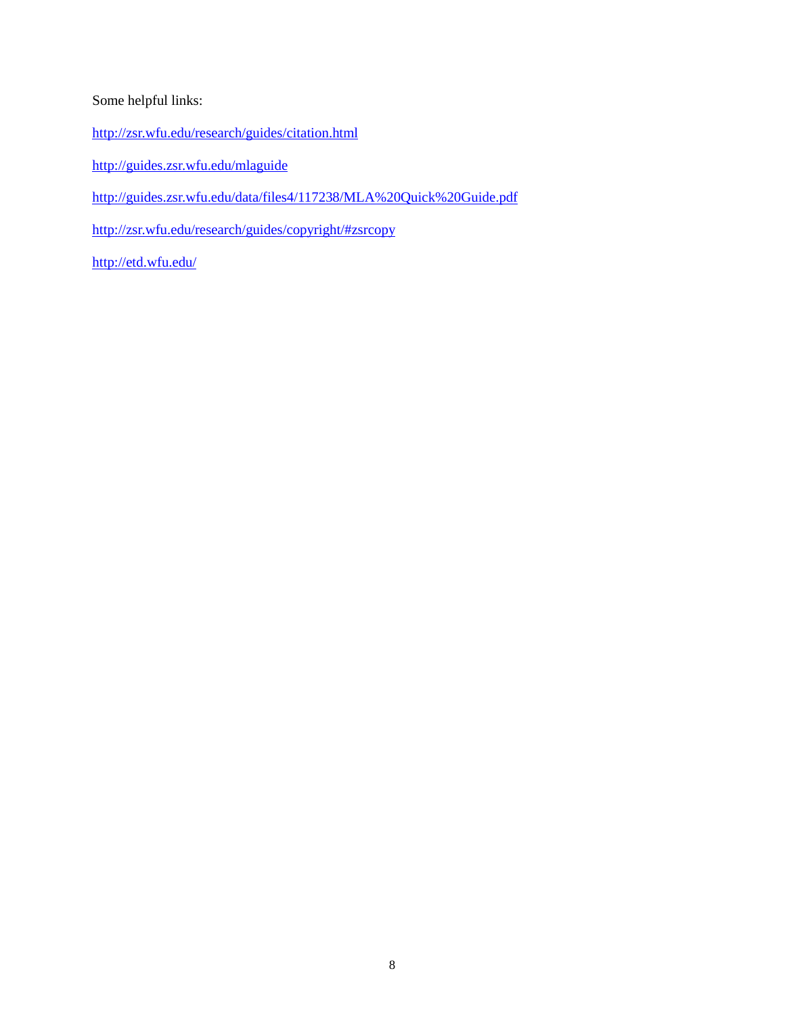# Some helpful links:

- <http://zsr.wfu.edu/research/guides/citation.html>
- <http://guides.zsr.wfu.edu/mlaguide>
- <http://guides.zsr.wfu.edu/data/files4/117238/MLA%20Quick%20Guide.pdf>
- <http://zsr.wfu.edu/research/guides/copyright/#zsrcopy>

<http://etd.wfu.edu/>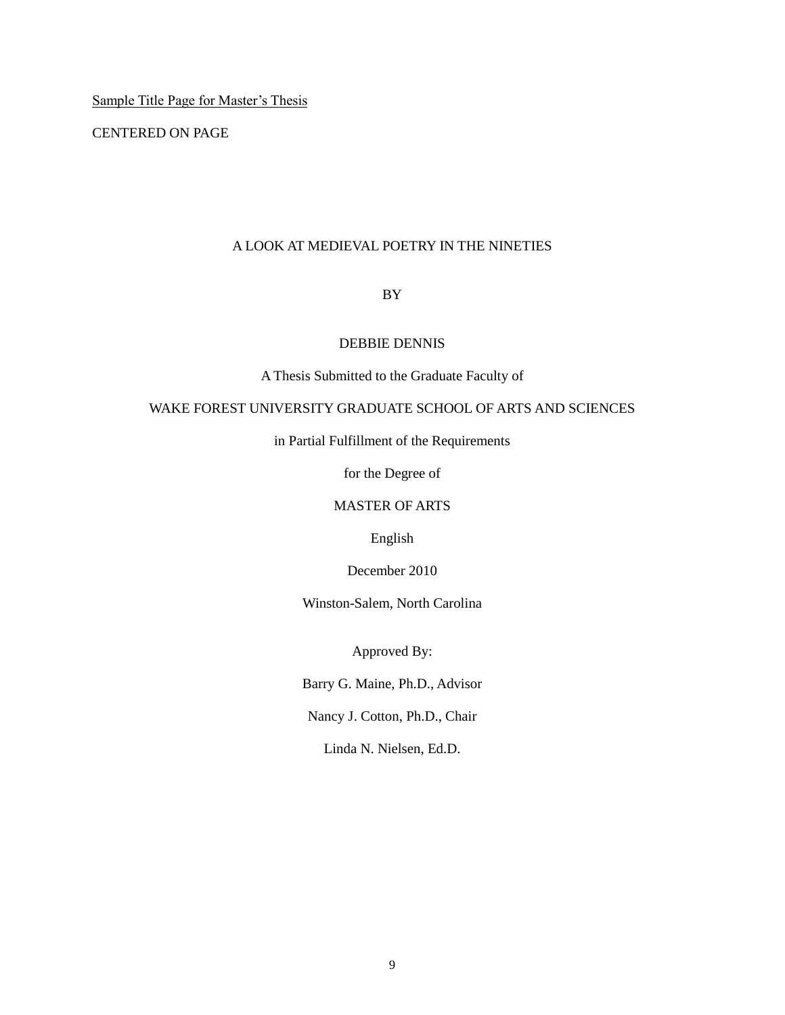Sample Title Page for Master's Thesis

CENTERED ON PAGE

### A LOOK AT MEDIEVAL POETRY IN THE NINETIES

### BY

#### DEBBIE DENNIS

A Thesis Submitted to the Graduate Faculty of

## WAKE FOREST UNIVERSITY GRADUATE SCHOOL OF ARTS AND SCIENCES

in Partial Fulfillment of the Requirements

for the Degree of

### MASTER OF ARTS

English

December 2010

Winston-Salem, North Carolina

Approved By:

Barry G. Maine, Ph.D., Advisor

Nancy J. Cotton, Ph.D., Chair

Linda N. Nielsen, Ed.D.